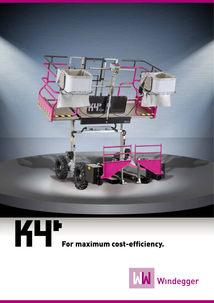

# **For maximum cost-efficiency.**

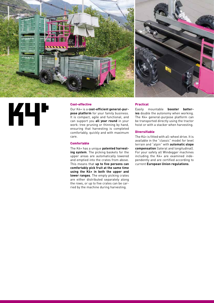

## KЧ

#### Cost-effective

Our K4+ is a **cost-efficient general-purpose platform** for your family business. It is compact, agile and functional, and can support you **all year round** in your work: tree pruning or thinning by hand, ensuring that harvesting is completed comfortably, quickly and with maximum care.

#### **Comfortable**

The K4+ has a unique **patented harvesting system**. The picking baskets for the upper areas are automatically lowered and emptied into the crates from above. This means that **up to five persons can comfortably pick fruit at the same time using the K4+ in both the upper and lower ranges**. The empty picking crates are either distributed separately along the rows, or up to five crates can be carried by the machine during harvesting.

#### Practical

Easily mountable **booster batteries** double the autonomy when working. The K4+ general-purpose platform can be transported directly using the tractor hoist or with a stacker when harvesting.

#### **Diversifiable**

The K4+ is fitted with all-wheel drive. It is available in the "classic" model for level terrain and "alpin" with **automatic slope compensation** (lateral and longitudinal). For your safety all Windegger machines including the K4+ are examined independently and are certified according to current **European Union regulations**.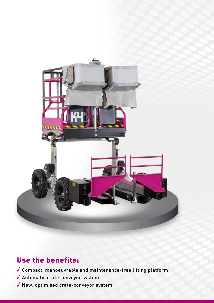

### Use the benefits:

Compact, manoeuvrable and maintenance-free lifting platform

- Automatic crate conveyor system
- $\sqrt{}$  New, optimised crate-conveyor system